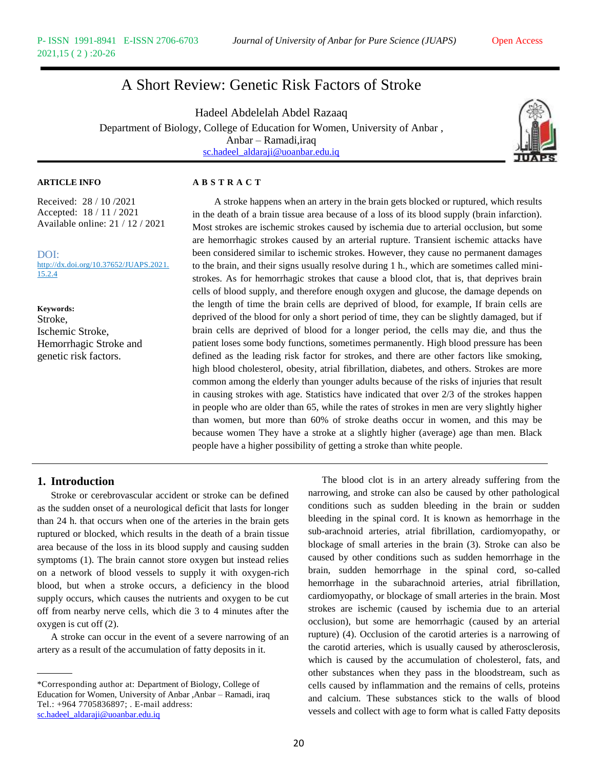# A Short Review: Genetic Risk Factors of Stroke

Hadeel Abdelelah Abdel Razaaq Department of Biology, College of Education for Women, University of Anbar , Anbar – Ramadi,iraq [sc.hadeel\\_aldaraji@uoanbar.edu.iq](mailto:sc.hadeel_aldaraji@uoanbar.edu.iq)



Received: 28 / 10 /2021 Accepted: 18 / 11 / 2021 Available online: 21 / 12 / 2021

DOI: http://dx.doi.org/10.37652/JUAPS.2021. 15.2.4

**Keywords:** Stroke, Ischemic Stroke, Hemorrhagic Stroke and genetic risk factors.

# **ARTICLE INFO A B S T R A C T**

A stroke happens when an artery in the brain gets blocked or ruptured, which results in the death of a brain tissue area because of a loss of its blood supply (brain infarction). Most strokes are ischemic strokes caused by ischemia due to arterial occlusion, but some are hemorrhagic strokes caused by an arterial rupture. Transient ischemic attacks have been considered similar to ischemic strokes. However, they cause no permanent damages to the brain, and their signs usually resolve during 1 h., which are sometimes called ministrokes. As for hemorrhagic strokes that cause a blood clot, that is, that deprives brain cells of blood supply, and therefore enough oxygen and glucose, the damage depends on the length of time the brain cells are deprived of blood, for example, If brain cells are deprived of the blood for only a short period of time, they can be slightly damaged, but if brain cells are deprived of blood for a longer period, the cells may die, and thus the patient loses some body functions, sometimes permanently. High blood pressure has been defined as the leading risk factor for strokes, and there are other factors like smoking, high blood cholesterol, obesity, atrial fibrillation, diabetes, and others. Strokes are more common among the elderly than younger adults because of the risks of injuries that result in causing strokes with age. Statistics have indicated that over 2/3 of the strokes happen in people who are older than 65, while the rates of strokes in men are very slightly higher than women, but more than 60% of stroke deaths occur in women, and this may be because women They have a stroke at a slightly higher (average) age than men. Black people have a higher possibility of getting a stroke than white people.

# **1. Introduction**

Stroke or cerebrovascular accident or stroke can be defined as the sudden onset of a neurological deficit that lasts for longer than 24 h. that occurs when one of the arteries in the brain gets ruptured or blocked, which results in the death of a brain tissue area because of the loss in its blood supply and causing sudden symptoms (1). The brain cannot store oxygen but instead relies on a network of blood vessels to supply it with oxygen-rich blood, but when a stroke occurs, a deficiency in the blood supply occurs, which causes the nutrients and oxygen to be cut off from nearby nerve cells, which die 3 to 4 minutes after the oxygen is cut off (2).

A stroke can occur in the event of a severe narrowing of an artery as a result of the accumulation of fatty deposits in it.

The blood clot is in an artery already suffering from the narrowing, and stroke can also be caused by other pathological conditions such as sudden bleeding in the brain or sudden bleeding in the spinal cord. It is known as hemorrhage in the sub-arachnoid arteries, atrial fibrillation, cardiomyopathy, or blockage of small arteries in the brain (3). Stroke can also be caused by other conditions such as sudden hemorrhage in the brain, sudden hemorrhage in the spinal cord, so-called hemorrhage in the subarachnoid arteries, atrial fibrillation, cardiomyopathy, or blockage of small arteries in the brain. Most strokes are ischemic (caused by ischemia due to an arterial occlusion), but some are hemorrhagic (caused by an arterial rupture) (4). Occlusion of the carotid arteries is a narrowing of the carotid arteries, which is usually caused by atherosclerosis, which is caused by the accumulation of cholesterol, fats, and other substances when they pass in the bloodstream, such as cells caused by inflammation and the remains of cells, proteins and calcium. These substances stick to the walls of blood vessels and collect with age to form what is called Fatty deposits

<sup>\*</sup>Corresponding author at: Department of Biology, College of Education for Women, University of Anbar ,Anbar - Ramadi, iraq Tel.: +964 7705836897; . E-mail address: [sc.hadeel\\_aldaraji@uoanbar.edu.iq](mailto:sc.hadeel_aldaraji@uoanbar.edu.iq)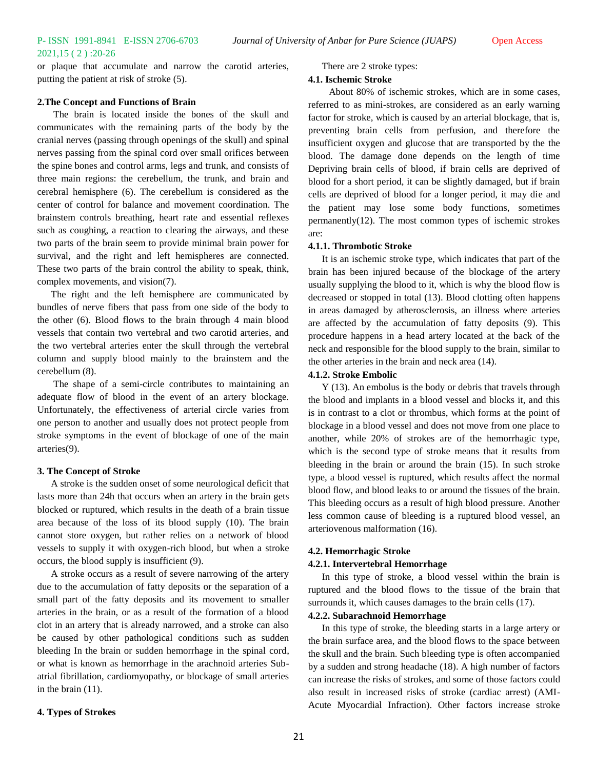or plaque that accumulate and narrow the carotid arteries, putting the patient at risk of stroke (5).

#### **2.The Concept and Functions of Brain**

The brain is located inside the bones of the skull and communicates with the remaining parts of the body by the cranial nerves (passing through openings of the skull) and spinal nerves passing from the spinal cord over small orifices between the spine bones and control arms, legs and trunk, and consists of three main regions: the cerebellum, the trunk, and brain and cerebral hemisphere (6). The cerebellum is considered as the center of control for balance and movement coordination. The brainstem controls breathing, heart rate and essential reflexes such as coughing, a reaction to clearing the airways, and these two parts of the brain seem to provide minimal brain power for survival, and the right and left hemispheres are connected. These two parts of the brain control the ability to speak, think, complex movements, and vision(7).

The right and the left hemisphere are communicated by bundles of nerve fibers that pass from one side of the body to the other (6). Blood flows to the brain through 4 main blood vessels that contain two vertebral and two carotid arteries, and the two vertebral arteries enter the skull through the vertebral column and supply blood mainly to the brainstem and the cerebellum (8).

The shape of a semi-circle contributes to maintaining an adequate flow of blood in the event of an artery blockage. Unfortunately, the effectiveness of arterial circle varies from one person to another and usually does not protect people from stroke symptoms in the event of blockage of one of the main arteries(9).

#### **3. The Concept of Stroke**

A stroke is the sudden onset of some neurological deficit that lasts more than 24h that occurs when an artery in the brain gets blocked or ruptured, which results in the death of a brain tissue area because of the loss of its blood supply (10). The brain cannot store oxygen, but rather relies on a network of blood vessels to supply it with oxygen-rich blood, but when a stroke occurs, the blood supply is insufficient (9).

A stroke occurs as a result of severe narrowing of the artery due to the accumulation of fatty deposits or the separation of a small part of the fatty deposits and its movement to smaller arteries in the brain, or as a result of the formation of a blood clot in an artery that is already narrowed, and a stroke can also be caused by other pathological conditions such as sudden bleeding In the brain or sudden hemorrhage in the spinal cord, or what is known as hemorrhage in the arachnoid arteries Subatrial fibrillation, cardiomyopathy, or blockage of small arteries in the brain (11).

# There are 2 stroke types:

### **4.1. Ischemic Stroke**

About 80% of ischemic strokes, which are in some cases, referred to as mini-strokes, are considered as an early warning factor for stroke, which is caused by an arterial blockage, that is, preventing brain cells from perfusion, and therefore the insufficient oxygen and glucose that are transported by the the blood. The damage done depends on the length of time Depriving brain cells of blood, if brain cells are deprived of blood for a short period, it can be slightly damaged, but if brain cells are deprived of blood for a longer period, it may die and the patient may lose some body functions, sometimes permanently(12). The most common types of ischemic strokes are:

### **4.1.1. Thrombotic Stroke**

It is an ischemic stroke type, which indicates that part of the brain has been injured because of the blockage of the artery usually supplying the blood to it, which is why the blood flow is decreased or stopped in total (13). Blood clotting often happens in areas damaged by atherosclerosis, an illness where arteries are affected by the accumulation of fatty deposits (9). This procedure happens in a head artery located at the back of the neck and responsible for the blood supply to the brain, similar to the other arteries in the brain and neck area (14).

#### **4.1.2. Stroke Embolic**

Y (13). An embolus is the body or debris that travels through the blood and implants in a blood vessel and blocks it, and this is in contrast to a clot or thrombus, which forms at the point of blockage in a blood vessel and does not move from one place to another, while 20% of strokes are of the hemorrhagic type, which is the second type of stroke means that it results from bleeding in the brain or around the brain (15). In such stroke type, a blood vessel is ruptured, which results affect the normal blood flow, and blood leaks to or around the tissues of the brain. This bleeding occurs as a result of high blood pressure. Another less common cause of bleeding is a ruptured blood vessel, an arteriovenous malformation (16).

#### **4.2. Hemorrhagic Stroke**

#### **4.2.1. Intervertebral Hemorrhage**

In this type of stroke, a blood vessel within the brain is ruptured and the blood flows to the tissue of the brain that surrounds it, which causes damages to the brain cells (17).

# **4.2.2. Subarachnoid Hemorrhage**

In this type of stroke, the bleeding starts in a large artery or the brain surface area, and the blood flows to the space between the skull and the brain. Such bleeding type is often accompanied by a sudden and strong headache (18). A high number of factors can increase the risks of strokes, and some of those factors could also result in increased risks of stroke (cardiac arrest) (AMI-Acute Myocardial Infraction). Other factors increase stroke

#### **4. Types of Strokes**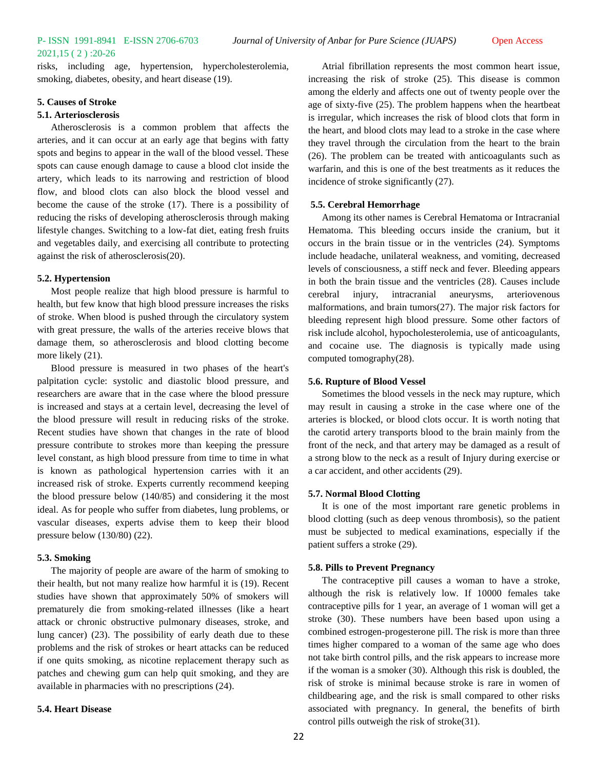# 2021,15 ( 2 ) :20-26

risks, including age, hypertension, hypercholesterolemia, smoking, diabetes, obesity, and heart disease (19).

# **5. Causes of Stroke**

# **5.1. Arteriosclerosis**

Atherosclerosis is a common problem that affects the arteries, and it can occur at an early age that begins with fatty spots and begins to appear in the wall of the blood vessel. These spots can cause enough damage to cause a blood clot inside the artery, which leads to its narrowing and restriction of blood flow, and blood clots can also block the blood vessel and become the cause of the stroke (17). There is a possibility of reducing the risks of developing atherosclerosis through making lifestyle changes. Switching to a low-fat diet, eating fresh fruits and vegetables daily, and exercising all contribute to protecting against the risk of atherosclerosis(20).

#### **5.2. Hypertension**

Most people realize that high blood pressure is harmful to health, but few know that high blood pressure increases the risks of stroke. When blood is pushed through the circulatory system with great pressure, the walls of the arteries receive blows that damage them, so atherosclerosis and blood clotting become more likely  $(21)$ .

Blood pressure is measured in two phases of the heart's palpitation cycle: systolic and diastolic blood pressure, and researchers are aware that in the case where the blood pressure is increased and stays at a certain level, decreasing the level of the blood pressure will result in reducing risks of the stroke. Recent studies have shown that changes in the rate of blood pressure contribute to strokes more than keeping the pressure level constant, as high blood pressure from time to time in what is known as pathological hypertension carries with it an increased risk of stroke. Experts currently recommend keeping the blood pressure below (140/85) and considering it the most ideal. As for people who suffer from diabetes, lung problems, or vascular diseases, experts advise them to keep their blood pressure below (130/80) (22).

#### **5.3. Smoking**

The majority of people are aware of the harm of smoking to their health, but not many realize how harmful it is (19). Recent studies have shown that approximately 50% of smokers will prematurely die from smoking-related illnesses (like a heart attack or chronic obstructive pulmonary diseases, stroke, and lung cancer) (23). The possibility of early death due to these problems and the risk of strokes or heart attacks can be reduced if one quits smoking, as nicotine replacement therapy such as patches and chewing gum can help quit smoking, and they are available in pharmacies with no prescriptions (24).

#### **5.4. Heart Disease**

Atrial fibrillation represents the most common heart issue, increasing the risk of stroke (25). This disease is common among the elderly and affects one out of twenty people over the age of sixty-five (25). The problem happens when the heartbeat is irregular, which increases the risk of blood clots that form in the heart, and blood clots may lead to a stroke in the case where they travel through the circulation from the heart to the brain (26). The problem can be treated with anticoagulants such as warfarin, and this is one of the best treatments as it reduces the incidence of stroke significantly (27).

#### **5.5. Cerebral Hemorrhage**

Among its other names is Cerebral Hematoma or Intracranial Hematoma. This bleeding occurs inside the cranium, but it occurs in the brain tissue or in the ventricles (24). Symptoms include headache, unilateral weakness, and vomiting, decreased levels of consciousness, a stiff neck and fever. Bleeding appears in both the brain tissue and the ventricles (28). Causes include cerebral injury, intracranial aneurysms, arteriovenous malformations, and brain tumors(27). The major risk factors for bleeding represent high blood pressure. Some other factors of risk include alcohol, hypocholesterolemia, use of anticoagulants, and cocaine use. The diagnosis is typically made using computed tomography(28).

#### **5.6. Rupture of Blood Vessel**

Sometimes the blood vessels in the neck may rupture, which may result in causing a stroke in the case where one of the arteries is blocked, or blood clots occur. It is worth noting that the carotid artery transports blood to the brain mainly from the front of the neck, and that artery may be damaged as a result of a strong blow to the neck as a result of Injury during exercise or a car accident, and other accidents (29).

#### **5.7. Normal Blood Clotting**

It is one of the most important rare genetic problems in blood clotting (such as deep venous thrombosis), so the patient must be subjected to medical examinations, especially if the patient suffers a stroke (29).

#### **5.8. Pills to Prevent Pregnancy**

The contraceptive pill causes a woman to have a stroke, although the risk is relatively low. If 10000 females take contraceptive pills for 1 year, an average of 1 woman will get a stroke (30). These numbers have been based upon using a combined estrogen-progesterone pill. The risk is more than three times higher compared to a woman of the same age who does not take birth control pills, and the risk appears to increase more if the woman is a smoker (30). Although this risk is doubled, the risk of stroke is minimal because stroke is rare in women of childbearing age, and the risk is small compared to other risks associated with pregnancy. In general, the benefits of birth control pills outweigh the risk of stroke(31).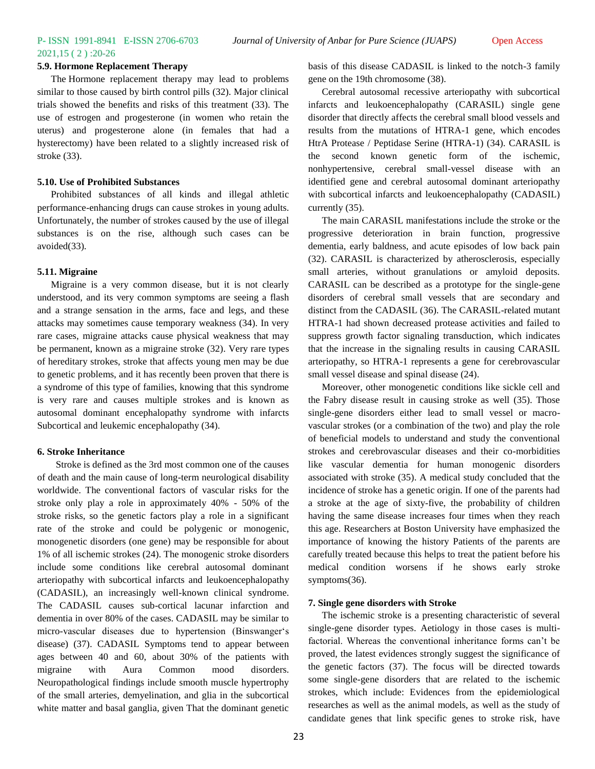# 2021,15 ( 2 ) :20-26

#### **5.9. Hormone Replacement Therapy**

The Hormone replacement therapy may lead to problems similar to those caused by birth control pills (32). Major clinical trials showed the benefits and risks of this treatment (33). The use of estrogen and progesterone (in women who retain the uterus) and progesterone alone (in females that had a hysterectomy) have been related to a slightly increased risk of stroke (33).

#### **5.10. Use of Prohibited Substances**

Prohibited substances of all kinds and illegal athletic performance-enhancing drugs can cause strokes in young adults. Unfortunately, the number of strokes caused by the use of illegal substances is on the rise, although such cases can be avoided(33).

### **5.11. Migraine**

Migraine is a very common disease, but it is not clearly understood, and its very common symptoms are seeing a flash and a strange sensation in the arms, face and legs, and these attacks may sometimes cause temporary weakness (34). In very rare cases, migraine attacks cause physical weakness that may be permanent, known as a migraine stroke (32). Very rare types of hereditary strokes, stroke that affects young men may be due to genetic problems, and it has recently been proven that there is a syndrome of this type of families, knowing that this syndrome is very rare and causes multiple strokes and is known as autosomal dominant encephalopathy syndrome with infarcts Subcortical and leukemic encephalopathy (34).

#### **6. Stroke Inheritance**

 Stroke is defined as the 3rd most common one of the causes of death and the main cause of long-term neurological disability worldwide. The conventional factors of vascular risks for the stroke only play a role in approximately 40% - 50% of the stroke risks, so the genetic factors play a role in a significant rate of the stroke and could be polygenic or monogenic, monogenetic disorders (one gene) may be responsible for about 1% of all ischemic strokes (24). The monogenic stroke disorders include some conditions like cerebral autosomal dominant arteriopathy with subcortical infarcts and leukoencephalopathy (CADASIL), an increasingly well-known clinical syndrome. The CADASIL causes sub-cortical lacunar infarction and dementia in over 80% of the cases. CADASIL may be similar to micro-vascular diseases due to hypertension (Binswangerʻs disease) (37). CADASIL Symptoms tend to appear between ages between 40 and 60, about 30% of the patients with migraine with Aura Common mood disorders. Neuropathological findings include smooth muscle hypertrophy of the small arteries, demyelination, and glia in the subcortical white matter and basal ganglia, given That the dominant genetic

basis of this disease CADASIL is linked to the notch-3 family gene on the 19th chromosome (38).

Cerebral autosomal recessive arteriopathy with subcortical infarcts and leukoencephalopathy (CARASIL) single gene disorder that directly affects the cerebral small blood vessels and results from the mutations of HTRA-1 gene, which encodes HtrA Protease / Peptidase Serine (HTRA-1) (34). CARASIL is the second known genetic form of the ischemic, nonhypertensive, cerebral small-vessel disease with an identified gene and cerebral autosomal dominant arteriopathy with subcortical infarcts and leukoencephalopathy (CADASIL) currently (35).

The main CARASIL manifestations include the stroke or the progressive deterioration in brain function, progressive dementia, early baldness, and acute episodes of low back pain (32). CARASIL is characterized by atherosclerosis, especially small arteries, without granulations or amyloid deposits. CARASIL can be described as a prototype for the single-gene disorders of cerebral small vessels that are secondary and distinct from the CADASIL (36). The CARASIL-related mutant HTRA-1 had shown decreased protease activities and failed to suppress growth factor signaling transduction, which indicates that the increase in the signaling results in causing CARASIL arteriopathy, so HTRA-1 represents a gene for cerebrovascular small vessel disease and spinal disease (24).

Moreover, other monogenetic conditions like sickle cell and the Fabry disease result in causing stroke as well (35). Those single-gene disorders either lead to small vessel or macrovascular strokes (or a combination of the two) and play the role of beneficial models to understand and study the conventional strokes and cerebrovascular diseases and their co-morbidities like vascular dementia for human monogenic disorders associated with stroke (35). A medical study concluded that the incidence of stroke has a genetic origin. If one of the parents had a stroke at the age of sixty-five, the probability of children having the same disease increases four times when they reach this age. Researchers at Boston University have emphasized the importance of knowing the history Patients of the parents are carefully treated because this helps to treat the patient before his medical condition worsens if he shows early stroke symptoms(36).

# **7. Single gene disorders with Stroke**

The ischemic stroke is a presenting characteristic of several single-gene disorder types. Aetiology in those cases is multifactorial. Whereas the conventional inheritance forms can't be proved, the latest evidences strongly suggest the significance of the genetic factors (37). The focus will be directed towards some single-gene disorders that are related to the ischemic strokes, which include: Evidences from the epidemiological researches as well as the animal models, as well as the study of candidate genes that link specific genes to stroke risk, have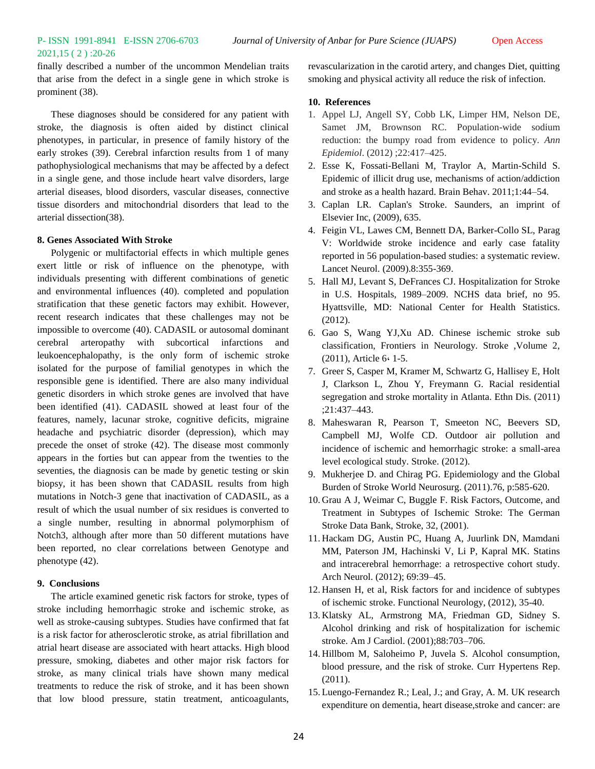finally described a number of the uncommon Mendelian traits that arise from the defect in a single gene in which stroke is prominent (38).

These diagnoses should be considered for any patient with stroke, the diagnosis is often aided by distinct clinical phenotypes, in particular, in presence of family history of the early strokes (39). Cerebral infarction results from 1 of many pathophysiological mechanisms that may be affected by a defect in a single gene, and those include heart valve disorders, large arterial diseases, blood disorders, vascular diseases, connective tissue disorders and mitochondrial disorders that lead to the arterial dissection(38).

# **8. Genes Associated With Stroke**

Polygenic or multifactorial effects in which multiple genes exert little or risk of influence on the phenotype, with individuals presenting with different combinations of genetic and environmental influences (40). completed and population stratification that these genetic factors may exhibit. However, recent research indicates that these challenges may not be impossible to overcome (40). CADASIL or autosomal dominant cerebral arteropathy with subcortical infarctions and leukoencephalopathy, is the only form of ischemic stroke isolated for the purpose of familial genotypes in which the responsible gene is identified. There are also many individual genetic disorders in which stroke genes are involved that have been identified (41). CADASIL showed at least four of the features, namely, lacunar stroke, cognitive deficits, migraine headache and psychiatric disorder (depression), which may precede the onset of stroke (42). The disease most commonly appears in the forties but can appear from the twenties to the seventies, the diagnosis can be made by genetic testing or skin biopsy, it has been shown that CADASIL results from high mutations in Notch-3 gene that inactivation of CADASIL, as a result of which the usual number of six residues is converted to a single number, resulting in abnormal polymorphism of Notch3, although after more than 50 different mutations have been reported, no clear correlations between Genotype and phenotype (42).

# **9. Conclusions**

The article examined genetic risk factors for stroke, types of stroke including hemorrhagic stroke and ischemic stroke, as well as stroke-causing subtypes. Studies have confirmed that fat is a risk factor for atherosclerotic stroke, as atrial fibrillation and atrial heart disease are associated with heart attacks. High blood pressure, smoking, diabetes and other major risk factors for stroke, as many clinical trials have shown many medical treatments to reduce the risk of stroke, and it has been shown that low blood pressure, statin treatment, anticoagulants,

revascularization in the carotid artery, and changes Diet, quitting smoking and physical activity all reduce the risk of infection.

# **10. References**

- 1. Appel LJ, Angell SY, Cobb LK, Limper HM, Nelson DE, Samet JM, Brownson RC. Population-wide sodium reduction: the bumpy road from evidence to policy. *Ann Epidemiol*. (2012) ;22:417–425.
- 2. Esse K, Fossati-Bellani M, Traylor A, Martin-Schild S. Epidemic of illicit drug use, mechanisms of action/addiction and stroke as a health hazard. Brain Behav. 2011;1:44–54.
- 3. Caplan LR. Caplan's Stroke. Saunders, an imprint of Elsevier Inc, (2009), 635.
- 4. Feigin VL, Lawes CM, Bennett DA, Barker-Collo SL, Parag V: Worldwide stroke incidence and early case fatality reported in 56 population-based studies: a systematic review. Lancet Neurol. (2009).8:355-369.
- 5. Hall MJ, Levant S, DeFrances CJ. Hospitalization for Stroke in U.S. Hospitals, 1989–2009. NCHS data brief, no 95. Hyattsville, MD: National Center for Health Statistics. (2012).
- 6. Gao S, Wang YJ,Xu AD. Chinese ischemic stroke sub classification, Frontiers in Neurology. Stroke ,Volume 2, (2011), Article 6**،** 1-5.
- 7. Greer S, Casper M, Kramer M, Schwartz G, Hallisey E, Holt J, Clarkson L, Zhou Y, Freymann G. Racial residential segregation and stroke mortality in Atlanta. Ethn Dis. (2011) ;21:437–443.
- 8. Maheswaran R, Pearson T, Smeeton NC, Beevers SD, Campbell MJ, Wolfe CD. Outdoor air pollution and incidence of ischemic and hemorrhagic stroke: a small-area level ecological study. Stroke. (2012).
- 9. Mukherjee D. and Chirag PG. Epidemiology and the Global Burden of Stroke World Neurosurg. (2011).76, p:585-620.
- 10. Grau A J, Weimar C, Buggle F. Risk Factors, Outcome, and Treatment in Subtypes of Ischemic Stroke: The German Stroke Data Bank, Stroke, 32, (2001).
- 11. Hackam DG, Austin PC, Huang A, Juurlink DN, Mamdani MM, Paterson JM, Hachinski V, Li P, Kapral MK. Statins and intracerebral hemorrhage: a retrospective cohort study. Arch Neurol. (2012); 69:39–45.
- 12. Hansen H, et al, Risk factors for and incidence of subtypes of ischemic stroke. Functional Neurology, (2012), 35-40.
- 13. Klatsky AL, Armstrong MA, Friedman GD, Sidney S. Alcohol drinking and risk of hospitalization for ischemic stroke. Am J Cardiol. (2001);88:703–706.
- 14. Hillbom M, Saloheimo P, Juvela S. Alcohol consumption, blood pressure, and the risk of stroke. Curr Hypertens Rep. (2011).
- 15. Luengo-Fernandez R.; Leal, J.; and Gray, A. M. UK research expenditure on dementia, heart disease,stroke and cancer: are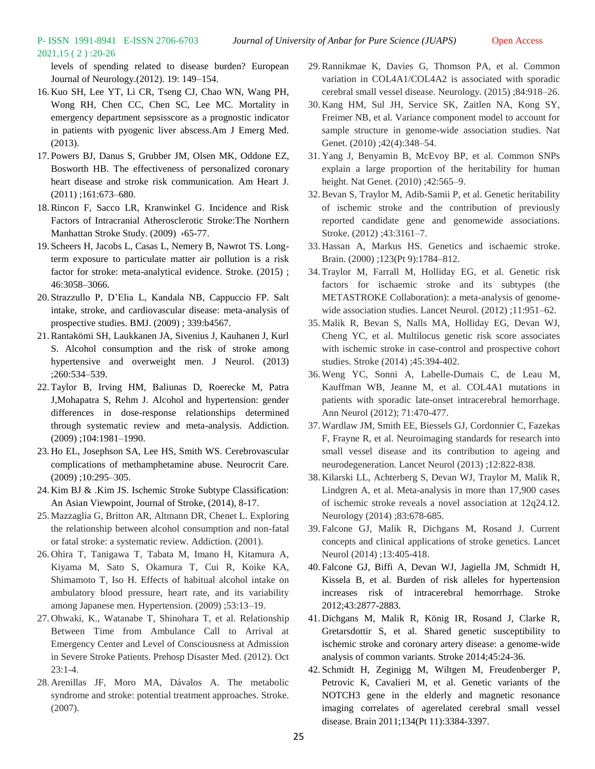# 2021,15 ( 2 ) :20-26

levels of spending related to disease burden? European Journal of Neurology.(2012). 19: 149–154.

- 16. Kuo SH, Lee YT, Li CR, Tseng CJ, Chao WN, Wang PH, Wong RH, Chen CC, Chen SC, Lee MC. Mortality in emergency department sepsisscore as a prognostic indicator in patients with pyogenic liver abscess.Am J Emerg Med. (2013).
- 17. Powers BJ, Danus S, Grubber JM, Olsen MK, Oddone EZ, Bosworth HB. The effectiveness of personalized coronary heart disease and stroke risk communication. Am Heart J. (2011) ;161:673–680.
- 18.Rincon F, Sacco LR, Kranwinkel G. Incidence and Risk Factors of Intracranial Atherosclerotic Stroke:The Northern Manhattan Stroke Study. (2009) **،**65-77.
- 19. Scheers H, Jacobs L, Casas L, Nemery B, Nawrot TS. Longterm exposure to particulate matter air pollution is a risk factor for stroke: meta-analytical evidence. Stroke. (2015) ; 46:3058–3066.
- 20. Strazzullo P, D'Elia L, Kandala NB, Cappuccio FP. Salt intake, stroke, and cardiovascular disease: meta-analysis of prospective studies. BMJ. (2009) ; 339:b4567.
- 21.Rantakömi SH, Laukkanen JA, Sivenius J, Kauhanen J, Kurl S. Alcohol consumption and the risk of stroke among hypertensive and overweight men. J Neurol. (2013) ;260:534–539.
- 22. Taylor B, Irving HM, Baliunas D, Roerecke M, Patra J,Mohapatra S, Rehm J. Alcohol and hypertension: gender differences in dose-response relationships determined through systematic review and meta-analysis. Addiction. (2009) ;104:1981–1990.
- 23. Ho EL, Josephson SA, Lee HS, Smith WS. Cerebrovascular complications of methamphetamine abuse. Neurocrit Care. (2009) ;10:295–305.
- 24. Kim BJ & .Kim JS. Ischemic Stroke Subtype Classification: An Asian Viewpoint, Journal of Stroke, (2014), 8-17.
- 25. Mazzaglia G, Britton AR, Altmann DR, Chenet L. Exploring the relationship between alcohol consumption and non-fatal or fatal stroke: a systematic review. Addiction. (2001).
- 26. Ohira T, Tanigawa T, Tabata M, Imano H, Kitamura A, Kiyama M, Sato S, Okamura T, Cui R, Koike KA, Shimamoto T, Iso H. Effects of habitual alcohol intake on ambulatory blood pressure, heart rate, and its variability among Japanese men. Hypertension. (2009) ;53:13–19.
- 27. Ohwaki, K., Watanabe T, Shinohara T, et al. Relationship Between Time from Ambulance Call to Arrival at Emergency Center and Level of Consciousness at Admission in Severe Stroke Patients. Prehosp Disaster Med. (2012). Oct  $23:1-4.$
- 28. Arenillas JF, Moro MA, Dávalos A. The metabolic syndrome and stroke: potential treatment approaches. Stroke. (2007).
- 29.Rannikmae K, Davies G, Thomson PA, et al. Common variation in COL4A1/COL4A2 is associated with sporadic cerebral small vessel disease. Neurology. (2015) ;84:918–26.
- 30. Kang HM, Sul JH, Service SK, Zaitlen NA, Kong SY, Freimer NB, et al. Variance component model to account for sample structure in genome-wide association studies. Nat Genet. (2010) ;42(4):348-54.
- 31. Yang J, Benyamin B, McEvoy BP, et al. Common SNPs explain a large proportion of the heritability for human height. Nat Genet. (2010) ;42:565-9.
- 32.Bevan S, Traylor M, Adib-Samii P, et al. Genetic heritability of ischemic stroke and the contribution of previously reported candidate gene and genomewide associations. Stroke. (2012) ;43:3161–7.
- 33. Hassan A, Markus HS. Genetics and ischaemic stroke. Brain. (2000) ;123(Pt 9):1784–812.
- 34. Traylor M, Farrall M, Holliday EG, et al. Genetic risk factors for ischaemic stroke and its subtypes (the METASTROKE Collaboration): a meta-analysis of genomewide association studies. Lancet Neurol. (2012) ;11:951–62.
- 35. Malik R, Bevan S, Nalls MA, Holliday EG, Devan WJ, Cheng YC, et al. Multilocus genetic risk score associates with ischemic stroke in case-control and prospective cohort studies. Stroke (2014) ;45:394-402.
- 36. Weng YC, Sonni A, Labelle-Dumais C, de Leau M, Kauffman WB, Jeanne M, et al. COL4A1 mutations in patients with sporadic late-onset intracerebral hemorrhage. Ann Neurol (2012); 71:470-477.
- 37. Wardlaw JM, Smith EE, Biessels GJ, Cordonnier C, Fazekas F, Frayne R, et al. Neuroimaging standards for research into small vessel disease and its contribution to ageing and neurodegeneration. Lancet Neurol (2013) ;12:822-838.
- 38. Kilarski LL, Achterberg S, Devan WJ, Traylor M, Malik R, Lindgren A, et al. Meta-analysis in more than 17,900 cases of ischemic stroke reveals a novel association at 12q24.12. Neurology (2014) ;83:678-685.
- 39. Falcone GJ, Malik R, Dichgans M, Rosand J. Current concepts and clinical applications of stroke genetics. Lancet Neurol (2014) ;13:405-418.
- 40. Falcone GJ, Biffi A, Devan WJ, Jagiella JM, Schmidt H, Kissela B, et al. Burden of risk alleles for hypertension increases risk of intracerebral hemorrhage. Stroke 2012;43:2877-2883.
- 41. Dichgans M, Malik R, König IR, Rosand J, Clarke R, Gretarsdottir S, et al. Shared genetic susceptibility to ischemic stroke and coronary artery disease: a genome-wide analysis of common variants. Stroke 2014;45:24-36.
- 42. Schmidt H, Zeginigg M, Wiltgen M, Freudenberger P, Petrovic K, Cavalieri M, et al. Genetic variants of the NOTCH3 gene in the elderly and magnetic resonance imaging correlates of agerelated cerebral small vessel disease. Brain 2011;134(Pt 11):3384-3397.